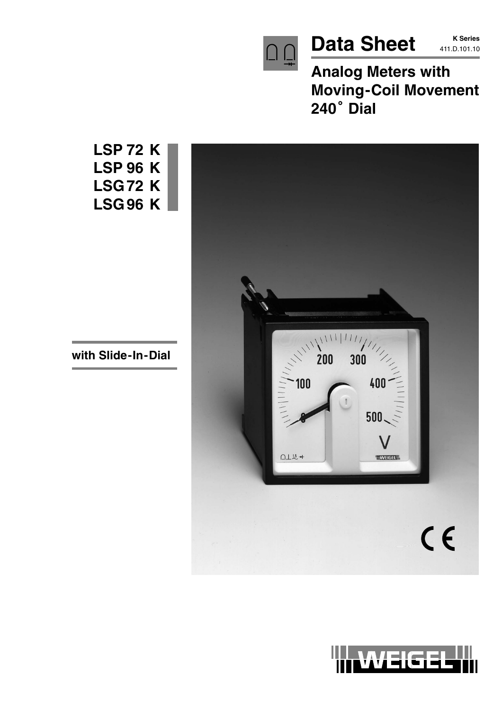

Data Sheet **K Series** 

**K Series**

**Analog Meters with Moving-Coil Movement** Analog **M**<br>Moving-(<br>240° Dial



**LSP 72 K LSP 96 K LSG 72 K LSG 96 K**

**with Slide-In-Dial**

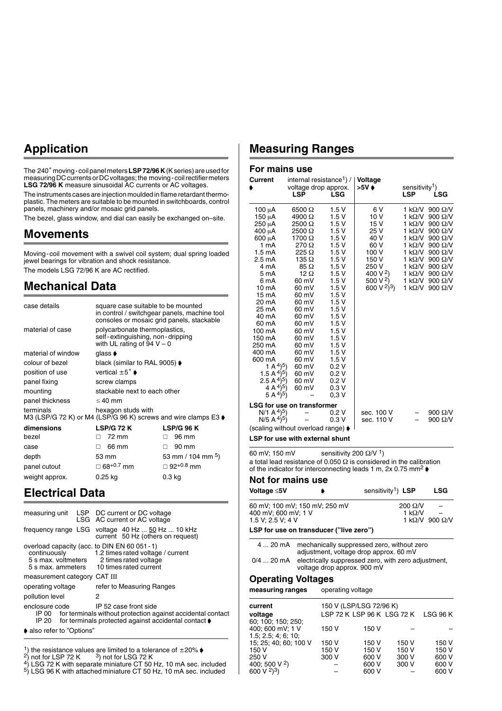#### **Application**

The 240° moving-coil panel meters **LSP 72/96 K** (K series) are used for measuring DC currents or DC voltages; the moving-coil rectifier meters **LSG 72/96 K** measure sinusoidal AC currents or AC voltages.

The instruments cases are injection moulded in flame retardant thermoplastic. The meters are suitable to be mounted in switchboards, control panels, machinery and/or mosaic grid panels.

The bezel, glass window, and dial can easily be exchanged on–site.

#### **Movements**

Moving-coil movement with a swivel coil system; dual spring loaded jewel bearings for vibration and shock resistance. The models LSG 72/96 K are AC rectified.

#### **Mechanical Data**

| case details                                                                | square case suitable to be mounted<br>in control / switchgear panels, machine tool<br>consoles or mosaic grid panels, stackable |                               |  |
|-----------------------------------------------------------------------------|---------------------------------------------------------------------------------------------------------------------------------|-------------------------------|--|
| material of case                                                            | polycarbonate thermoplastics,<br>self-extinguishing, non-dripping<br>with UL rating of 94 $V - 0$                               |                               |  |
| material of window                                                          | glass <b>♦</b>                                                                                                                  |                               |  |
| colour of bezel                                                             | black (similar to RAL 9005) $\blacktriangleright$                                                                               |                               |  |
| position of use                                                             | vertical $\pm 5^{\circ}$ $\bullet$                                                                                              |                               |  |
| panel fixing                                                                | screw clamps                                                                                                                    |                               |  |
| mounting                                                                    | stackable next to each other                                                                                                    |                               |  |
| panel thickness                                                             | $\leq 40$ mm                                                                                                                    |                               |  |
| terminals<br>M3 (LSP/G 72 K) or M4 (LSP/G 96 K) screws and wire clamps E3 ♦ | hexagon studs with                                                                                                              |                               |  |
| dimensions                                                                  | <b>LSP/G 72 K</b>                                                                                                               | LSP/G 96 K                    |  |
| bezel                                                                       | 72 mm<br>П.                                                                                                                     | 96 mm<br>П.                   |  |
| case                                                                        | 66 mm<br>п                                                                                                                      | 90 mm<br>п                    |  |
| depth                                                                       | 53 mm                                                                                                                           | 53 mm / 104 mm <sup>5</sup> ) |  |
| panel cutout                                                                | $\Box$ 68 <sup>+0.7</sup> mm                                                                                                    | $\Box$ 92+0.8 mm              |  |
| weight approx.                                                              | 0.25 kg                                                                                                                         | 0.3 kg                        |  |

#### **Electrical Data**

|                                                                                      | measuring unit LSP DC current or DC voltage<br>LSG AC current or AC voltage                                                                              |  |
|--------------------------------------------------------------------------------------|----------------------------------------------------------------------------------------------------------------------------------------------------------|--|
|                                                                                      | frequency range LSG voltage 40 Hz  50 Hz  10 kHz<br>current 50 Hz (others on request)                                                                    |  |
| overload capacity (acc. to DIN EN 60 051 - 1)<br>continuously<br>5 s max. voltmeters | 1.2 times rated voltage / current<br>2 times rated voltage<br>5 s max, ammeters 10 times rated current                                                   |  |
| measurement category CAT III                                                         |                                                                                                                                                          |  |
| operating voltage                                                                    | refer to Measuring Ranges                                                                                                                                |  |
| pollution level                                                                      | 2                                                                                                                                                        |  |
| enclosure code                                                                       | IP 52 case front side<br>IP 00 for terminals without protection against accidental contact<br>IP 20 for terminals protected against accidental contact ♦ |  |
| ♦ also refer to "Options"                                                            |                                                                                                                                                          |  |

- 
- <sup>1</sup>) the resistance values are limited to a tolerance of  $\pm 20\%$   $\bullet$ <br><sup>2</sup>) not for LSP 72 K  $3)$  not for LSG 72 K<br><sup>4</sup>) LSG 72 K with separate miniature CT 50 Hz, 10 mA sec. included
- $5$ ) LSG 96 K with attached miniature CT 50 Hz, 10 mA sec. included

#### **Measuring Ranges**

#### **For mains use**

| Current                                                                                                                                                                                                                                                                                                                                                                           | internal resistance <sup>1</sup> ) /   <b>Voltage</b><br>voltage drop approx.<br><b>LSP</b>                                                                                                                                                                                  | <b>LSG</b>                                                                                                                                                                                                                | >5V ♦                                                                                                                                                         | sensitivity <sup>1</sup> )<br><b>LSP</b>                                                                                                                                                            | LSG                                                                                                                                                                            |
|-----------------------------------------------------------------------------------------------------------------------------------------------------------------------------------------------------------------------------------------------------------------------------------------------------------------------------------------------------------------------------------|------------------------------------------------------------------------------------------------------------------------------------------------------------------------------------------------------------------------------------------------------------------------------|---------------------------------------------------------------------------------------------------------------------------------------------------------------------------------------------------------------------------|---------------------------------------------------------------------------------------------------------------------------------------------------------------|-----------------------------------------------------------------------------------------------------------------------------------------------------------------------------------------------------|--------------------------------------------------------------------------------------------------------------------------------------------------------------------------------|
| 100 μA<br>150 μA<br>250 µA<br>400 μΑ<br>600 µA<br>1 mA<br>1.5 mA<br>$2.5 \text{ mA}$<br>4 mA<br>5 m A<br>6 mA<br>10 mA<br>15 mA<br>20 mA<br>25 mA<br>40 mA<br>60 mA<br>100 mA<br>150 mA<br>250 mA<br>400 mA<br>600 mA<br>(1 A <sup>4</sup> ) <sup>5</sup><br>1.5 A <sup>4</sup> $(5)$<br>2.5 A <sup>4</sup> $(5)$<br>4 A <sup>4</sup> ) <sup>5</sup> )<br>$(5 \text{ A}^{4})^{5}$ | 6500 Ω<br>4900 Ω<br>$2500 \Omega$<br>2500 Ω<br>1700 Ω<br>270 Ω<br>$225 \Omega$<br>135 $\Omega$<br>$85 \Omega$<br>12 $\Omega$<br>60 mV<br>60 mV<br>60 mV<br>60 mV<br>60 mV<br>60 mV<br>60 mV<br>60 mV<br>60 mV<br>60 mV<br>60 mV<br>60 mV<br>60 mV<br>60 mV<br>60 mV<br>60 mV | 1.5 V<br>1.5V<br>1.5V<br>1.5V<br>1.5V<br>1.5V<br>1.5V<br>1.5 V<br>1.5V<br>1.5 V<br>1.5V<br>1.5 V<br>1.5V<br>1.5V<br>1.5V<br>1.5V<br>1.5V<br>1.5V<br>1.5V<br>1.5 V<br>1.5V<br>1.5V<br>0.2V<br>0.2V<br>0.2V<br>0.3V<br>0,3V | 6 V<br>10 V<br>15 V<br>25 V<br>40 V<br>60 V<br>100 V<br>150 V<br>250 V<br>400 V <sup>2</sup> )<br>500 V <sup>2</sup> )<br>600 V <sup>2</sup> ) <sup>3</sup> ) | 1 kΩ/V<br>1 k $\Omega$ /V<br>1 $k\Omega/V$<br>1 k $\Omega$ /V<br>1 k $\Omega$ /V<br>1 k $\Omega$ /V<br>1 k $\Omega$ /V<br>1 k $\Omega$ /V<br>1 k $\Omega$ /V<br>1 k $\Omega$ /V<br>1 kΩ/V<br>1 kΩ/V | $900 \Omega/V$<br>900 Ω/V<br>900 Ω/V<br>900 $\Omega$ /V<br>900 $\Omega$ /V<br>900 Ω/V<br>900 Ω/V<br>900 $\Omega$ /V<br>900 Ω/V<br>900 Ω/V<br>$900 \Omega/V$<br>900 $\Omega$ /V |
| <b>LSG for use on transformer</b><br>$N/1 A4$ <sup>5</sup> )<br>$N/5$ A $^{4})^{5}$<br>(scaling without overload range) $\blacktriangleright$<br><b>LSP for use with external shunt</b>                                                                                                                                                                                           |                                                                                                                                                                                                                                                                              | 0.2V<br>0.3V                                                                                                                                                                                                              | sec. 100 V<br>sec. 110 V                                                                                                                                      |                                                                                                                                                                                                     | 900 $\Omega$ /V<br>900 Ω/V                                                                                                                                                     |
| 60 mV; 150 mV                                                                                                                                                                                                                                                                                                                                                                     |                                                                                                                                                                                                                                                                              | sensitivity 200 $\Omega$ /V <sup>1</sup> )                                                                                                                                                                                |                                                                                                                                                               |                                                                                                                                                                                                     |                                                                                                                                                                                |

a total lead resistance of 0.050  $\Omega$  is considered in the calibration of the indicator for interconnecting leads 1 m, 2x 0.75 mm<sup>2</sup>  $\blacklozenge$ 

#### **Not for mains use**

| Voltage ≤5V         |                                         | sensitivity <sup>1</sup> ) LSP                                 | LSG                             |
|---------------------|-----------------------------------------|----------------------------------------------------------------|---------------------------------|
|                     | 60 mV; 100 mV; 150 mV; 250 mV           | $200 \Omega/V$                                                 |                                 |
| 400 mV; 600 mV; 1 V |                                         | 1 k $\Omega$ /V                                                |                                 |
| 1.5 V; 2.5 V; 4 V   |                                         |                                                                | 1 k $\Omega$ /V 900 $\Omega$ /V |
|                     | LSP for use on transducer ("live zero") |                                                                |                                 |
|                     | adjustment, voltage drop approx. 60 mV  | 4  20 mA mechanically suppressed zero, without zero            |                                 |
|                     | voltage drop approx. 900 mV             | 0/4  20 mA electrically suppressed zero, with zero adjustment, |                                 |

#### **Operating Voltages**

**measuring ranges** operating voltage

| current<br>voltage                  |       | 150 V (LSP/LSG 72/96 K)<br>LSP 72 K LSP 96 K LSG 72 K |       | <b>LSG 96 K</b> |
|-------------------------------------|-------|-------------------------------------------------------|-------|-----------------|
|                                     |       |                                                       |       |                 |
| 60: 100: 150: 250:                  |       |                                                       |       |                 |
| 400; 600 mV; 1 V                    | 150 V | 150 V                                                 |       |                 |
| 1.5; 2.5; 4; 6; 10;                 |       |                                                       |       |                 |
| 15; 25; 40; 60; 100 V               | 150 V | 150 V                                                 | 150 V | 150 V           |
| 150 V                               | 150 V | 150 V                                                 | 150 V | 150 V           |
| 250 V                               | 300 V | 600 V                                                 | 300 V | 600 V           |
| 400; 500 V <sup>2</sup> )           |       | 600 V                                                 | 300 V | 600 V           |
| 600 V <sup>2</sup> ) <sup>3</sup> ) |       | 600 V                                                 |       | 600 V           |
|                                     |       |                                                       |       |                 |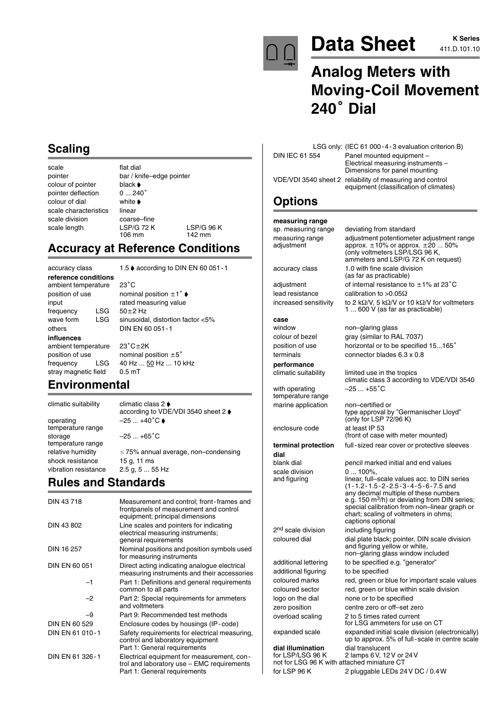

# Data Sheet **Allocaters K** Series

# **Analog Meters with Moving-Coil Movement** Analog **M**<br>Moving-(<br>240° Dial

| <b>Scaling</b> |
|----------------|
|                |

scale flat dial colour of pointer black  $\phi$ <br>pointer deflection 0 ... 240° pointer deflection colour of dial white scale characteristics linear scale division coarse–fine

pointer bar / knife–edge pointer scale length LSP/G 72 K LSP/G 96 K<br>106 mm 142 mm 142 mm

## **Accuracy at Reference Conditions**

**reference conditions** ambient temperature 23°C position of use nominal position  $\pm 1^{\circ}$ input rated measuring value<br>frequency  $1.\overline{SG} = 50+2.\overline{Hz}$ frequency others DIN EN 60 051-1 **influences** ambient temperature stray magnetic field 0.5 mT

accuracy class 1.5 ♦ according to DIN EN 60 051 - 1

 $50 + 2$  Hz wave form LSG sinusoidal, distortion factor <5%

 $23^{\circ}$ C $\pm$ 2K position of use nominal position  $\pm 5^{\circ}$ frequency LSG 40 Hz ... 50 Hz ... 10 kHz

#### **Environmental**

operating  $-25 ... +40^{\circ}C$ temperature range storage  $-25...+65^{\circ}C$ temperature range shock resistance 15 g, 11 ms vibration resistance 2.5 g, 5 ... 55 Hz

climatic suitability climatic class 2  $\frac{3}{2}$  according to VDE/VDI 3540 sheet 2

relative humidity  $\leq 75\%$  annual average, non–condensing

## **Rules and Standards**

| DIN 43718            | Measurement and control; front-frames and<br>frontpanels of measurement and control<br>equipment; principal dimensions   |
|----------------------|--------------------------------------------------------------------------------------------------------------------------|
| DIN 43 802           | Line scales and pointers for indicating<br>electrical measuring instruments;<br>general requirements                     |
| DIN 16 257           | Nominal positions and position symbols used<br>for measuring instruments                                                 |
| DIN EN 60 051        | Direct acting indicating analogue electrical<br>measuring instruments and their accessories                              |
| -1                   | Part 1: Definitions and general requirements<br>common to all parts                                                      |
| $-2$                 | Part 2: Special requirements for ammeters<br>and voltmeters                                                              |
| -9                   | Part 9: Recommended test methods                                                                                         |
| <b>DIN EN 60 529</b> | Enclosure codes by housings (IP-code)                                                                                    |
| DIN EN 61 010-1      | Safety requirements for electrical measuring,<br>control and laboratory equipment<br>Part 1: General requirements        |
| DIN EN 61 326-1      | Electrical equipment for measurement, con-<br>trol and laboratory use - EMC requirements<br>Part 1: General requirements |

|                | LSG only: (IEC 61 000-4-3 evaluation criterion B)                                                   |
|----------------|-----------------------------------------------------------------------------------------------------|
| DIN IEC 61 554 | Panel mounted equipment -                                                                           |
|                | Electrical measuring instruments -<br>Dimensions for panel mounting                                 |
|                | VDE/VDI 3540 sheet 2 reliability of measuring and control<br>equipment (classification of climates) |

non–glaring glass

limited use in the tropics

(only for LSP 72/96 K)

## **Options**

**measuring range** sp. measuring range deviating from standard measuring range adjustment potentiometer adjustment range<br>adjustment approx.  $\pm 10\%$  or approx.  $\pm 20$  ... 50% adjustment  $approx. \pm 10\%$  or approx.  $\pm 20$  ... 50%

lead resistance calibration to >0.05 $\Omega$ increased sensitivity

## **case**

temperature range marine application non–certified or

**dial**

expanded scale expanded initial scale division (electronically)

up to approx. 5% of full-scale in centre scale **dial illumination** dial translucent<br>for LSP/LSG 96 K 2 lamps 6 V. 12 2 lamps 6V, 12V or 24V not for LSG 96 K with attached miniature CT for LSP 96 K 2 pluggable LEDs 24V DC / 0.4W

(only voltmeters LSP/LSG 96 K, ammeters and LSP/G 72 K on request) accuracy class 1.0 with fine scale division (as far as practicable)

adjustment of internal resistance to  $\pm 1\%$  at 23 $^{\circ}$ C

/V, 5 k $\Omega$ /V or 10 k $\Omega$ /V for voltmeters 1 ... 600 V (as far as practicable)

climatic class 3 according to VDE/VDI 3540

type approval by "Germanischer Lloyd"

any decimal multiple of these numbers e.g. 150 m<sup>3</sup>/h) or deviating from DIN series; special calibration from non–linear graph or chart; scaling of voltmeters in ohms;

(front of case with meter mounted)

colour of bezel gray (similar to RAL 7037) position of use horizontal or to be specified 15...165° terminals connector blades 6.3 x 0.8

**performance**

with operating  $-25...+55^{\circ}C$ 

enclosure code at least IP 53

**terminal protection** full-sized rear cover or protective sleeves

blank dial pencil marked initial and end values scale division 0 ... 100%,<br>and figuring linear, fulllinear, full–scale values acc. to DIN series (1-1.2-1.5-2-2.5-3-4-5-6-7.5 and

captions optional

and figuring yellow or white, non–glaring glass window included

for LSG ammeters for use on CT

2<sup>nd</sup> scale division including figuring coloured dial dial dial plate black; pointer, DIN scale division

additional lettering to be specified e.g. "generator" additional figuring to be specified coloured marks red, green or blue for important scale values coloured sector red, green or blue within scale division logo on the dial none or to be specified zero position centre zero or off–set zero overload scaling 2 to 5 times rated current